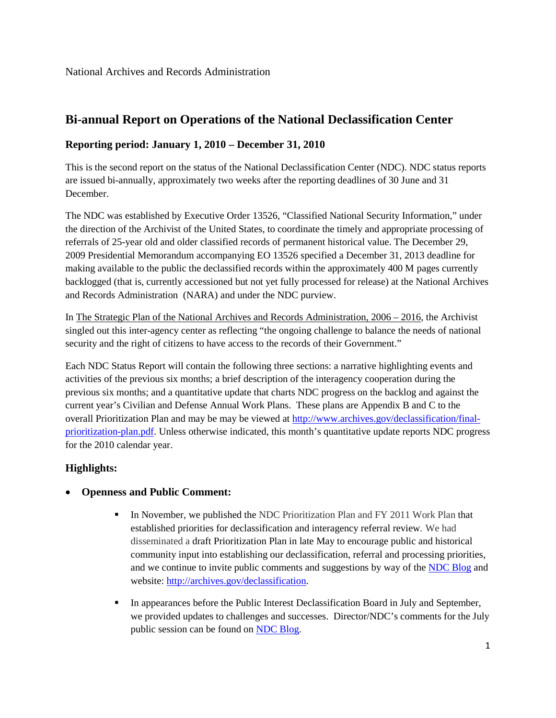# **Bi-annual Report on Operations of the National Declassification Center**

#### **Reporting period: January 1, 2010 – December 31, 2010**

This is the second report on the status of the National Declassification Center (NDC). NDC status reports are issued bi-annually, approximately two weeks after the reporting deadlines of 30 June and 31 December.

The NDC was established by Executive Order 13526, "Classified National Security Information," under the direction of the Archivist of the United States, to coordinate the timely and appropriate processing of referrals of 25-year old and older classified records of permanent historical value. The December 29, 2009 Presidential Memorandum accompanying EO 13526 specified a December 31, 2013 deadline for making available to the public the declassified records within the approximately 400 M pages currently backlogged (that is, currently accessioned but not yet fully processed for release) at the National Archives and Records Administration (NARA) and under the NDC purview.

In The Strategic Plan of the National Archives and Records Administration, 2006 – 2016, the Archivist singled out this inter-agency center as reflecting "the ongoing challenge to balance the needs of national security and the right of citizens to have access to the records of their Government."

Each NDC Status Report will contain the following three sections: a narrative highlighting events and activities of the previous six months; a brief description of the interagency cooperation during the previous six months; and a quantitative update that charts NDC progress on the backlog and against the current year's Civilian and Defense Annual Work Plans. These plans are Appendix B and C to the overall Prioritization Plan and may be may be viewed at [http://www.archives.gov/declassification/final](http://www.archives.gov/declassification/final-prioritization-plan.pdf)[prioritization-plan.pdf.](http://www.archives.gov/declassification/final-prioritization-plan.pdf) Unless otherwise indicated, this month's quantitative update reports NDC progress for the 2010 calendar year.

### **Highlights:**

#### • **Openness and Public Comment:**

- In November, we published the NDC Prioritization Plan and FY 2011 Work Plan that established priorities for declassification and interagency referral review. We had disseminated a draft Prioritization Plan in late May to encourage public and historical community input into establishing our declassification, referral and processing priorities, and we continue to invite public comments and suggestions by way of the [NDC Blog](http://blogs.archives.gov/ndc) and website: [http://archives.gov/declassification.](http://archives.gov/declassification)
- In appearances before the Public Interest Declassification Board in July and September, we provided updates to challenges and successes. Director/NDC's comments for the July public session can be found on [NDC Blog.](http://blogs.archives.gov/ndc)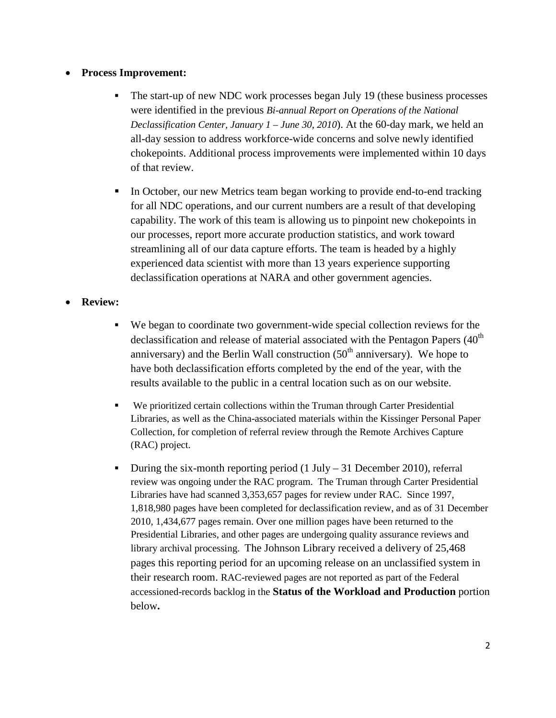### • **Process Improvement:**

- The start-up of new NDC work processes began July 19 (these business processes were identified in the previous *Bi-annual Report on Operations of the National Declassification Center, January 1 – June 30, 2010*). At the 60-day mark, we held an all-day session to address workforce-wide concerns and solve newly identified chokepoints. Additional process improvements were implemented within 10 days of that review.
- In October, our new Metrics team began working to provide end-to-end tracking for all NDC operations, and our current numbers are a result of that developing capability. The work of this team is allowing us to pinpoint new chokepoints in our processes, report more accurate production statistics, and work toward streamlining all of our data capture efforts. The team is headed by a highly experienced data scientist with more than 13 years experience supporting declassification operations at NARA and other government agencies.

#### • **Review:**

- We began to coordinate two government-wide special collection reviews for the declassification and release of material associated with the Pentagon Papers  $(40<sup>th</sup>$ anniversary) and the Berlin Wall construction  $(50<sup>th</sup>$  anniversary). We hope to have both declassification efforts completed by the end of the year, with the results available to the public in a central location such as on our website.
- We prioritized certain collections within the Truman through Carter Presidential Libraries, as well as the China-associated materials within the Kissinger Personal Paper Collection, for completion of referral review through the Remote Archives Capture (RAC) project.
- During the six-month reporting period  $(1 \text{ July} 31 \text{ December } 2010)$ , referral review was ongoing under the RAC program. The Truman through Carter Presidential Libraries have had scanned 3,353,657 pages for review under RAC. Since 1997, 1,818,980 pages have been completed for declassification review, and as of 31 December 2010, 1,434,677 pages remain. Over one million pages have been returned to the Presidential Libraries, and other pages are undergoing quality assurance reviews and library archival processing. The Johnson Library received a delivery of 25,468 pages this reporting period for an upcoming release on an unclassified system in their research room. RAC-reviewed pages are not reported as part of the Federal accessioned-records backlog in the **Status of the Workload and Production** portion below**.**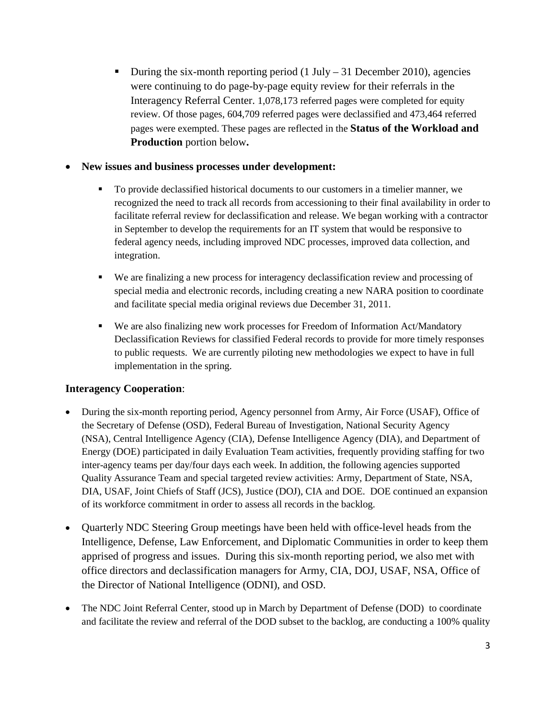During the six-month reporting period  $(1 \text{ July} - 31 \text{ December } 2010)$ , agencies were continuing to do page-by-page equity review for their referrals in the Interagency Referral Center. 1,078,173 referred pages were completed for equity review. Of those pages, 604,709 referred pages were declassified and 473,464 referred pages were exempted. These pages are reflected in the **Status of the Workload and Production** portion below**.** 

### • **New issues and business processes under development:**

- To provide declassified historical documents to our customers in a timelier manner, we recognized the need to track all records from accessioning to their final availability in order to facilitate referral review for declassification and release. We began working with a contractor in September to develop the requirements for an IT system that would be responsive to federal agency needs, including improved NDC processes, improved data collection, and integration.
- We are finalizing a new process for interagency declassification review and processing of special media and electronic records, including creating a new NARA position to coordinate and facilitate special media original reviews due December 31, 2011.
- We are also finalizing new work processes for Freedom of Information Act/Mandatory Declassification Reviews for classified Federal records to provide for more timely responses to public requests. We are currently piloting new methodologies we expect to have in full implementation in the spring.

## **Interagency Cooperation**:

- During the six-month reporting period, Agency personnel from Army, Air Force (USAF), Office of the Secretary of Defense (OSD), Federal Bureau of Investigation, National Security Agency (NSA), Central Intelligence Agency (CIA), Defense Intelligence Agency (DIA), and Department of Energy (DOE) participated in daily Evaluation Team activities, frequently providing staffing for two inter-agency teams per day/four days each week. In addition, the following agencies supported Quality Assurance Team and special targeted review activities: Army, Department of State, NSA, DIA, USAF, Joint Chiefs of Staff (JCS), Justice (DOJ), CIA and DOE. DOE continued an expansion of its workforce commitment in order to assess all records in the backlog.
- Quarterly NDC Steering Group meetings have been held with office-level heads from the Intelligence, Defense, Law Enforcement, and Diplomatic Communities in order to keep them apprised of progress and issues. During this six-month reporting period, we also met with office directors and declassification managers for Army, CIA, DOJ, USAF, NSA, Office of the Director of National Intelligence (ODNI), and OSD.
- The NDC Joint Referral Center, stood up in March by Department of Defense (DOD) to coordinate and facilitate the review and referral of the DOD subset to the backlog, are conducting a 100% quality